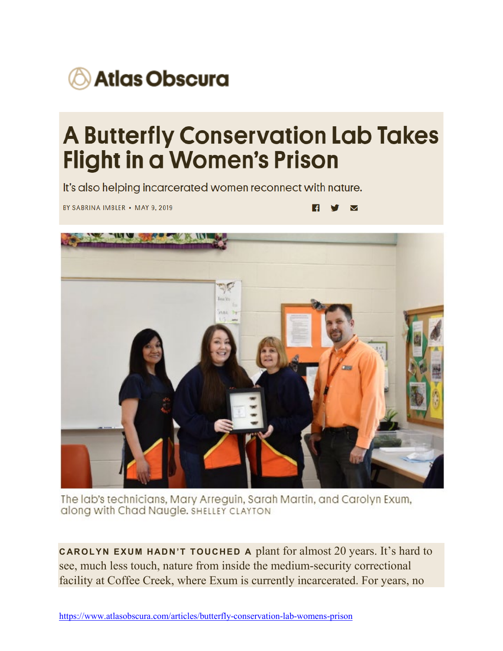

## **A Butterfly Conservation Lab Takes Flight in a Women's Prison**

It's also helping incarcerated women reconnect with nature.

BY SABRINA IMBLER . MAY 9, 2019

 $\overline{\mathbf{M}}$ H.



The lab's technicians, Mary Arreguin, Sarah Martin, and Carolyn Exum, along with Chad Naugle, SHELLEY CLAYTON

**CAROLYN EXUM HADN'T TOUCHED A** plant for almost 20 years. It's hard to see, much less touch, nature from inside the medium-security correctional facility at Coffee Creek, where Exum is currently incarcerated. For years, no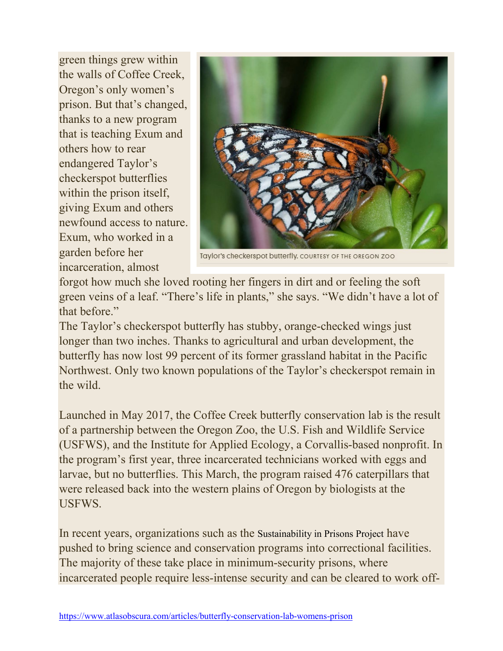green things grew within the walls of Coffee Creek, Oregon's only women's prison. But that's changed, thanks to a new program that is teaching Exum and others how to rear endangered Taylor's checkerspot butterflies within the prison itself, giving Exum and others newfound access to nature. Exum, who worked in a garden before her incarceration, almost



Taylor's checkerspot butterfly. COURTESY OF THE OREGON ZOO

forgot how much she loved rooting her fingers in dirt and or feeling the soft green veins of a leaf. "There's life in plants," she says. "We didn't have a lot of that before."

The Taylor's checkerspot butterfly has stubby, orange-checked wings just longer than two inches. Thanks to agricultural and urban development, the butterfly has now lost 99 percent of its former grassland habitat in the Pacific Northwest. Only two known populations of the Taylor's checkerspot remain in the wild.

Launched in May 2017, the Coffee Creek butterfly conservation lab is the result of a partnership between the Oregon Zoo, the U.S. Fish and Wildlife Service (USFWS), and the Institute for Applied Ecology, a Corvallis-based nonprofit. In the program's first year, three incarcerated technicians worked with eggs and larvae, but no butterflies. This March, the program raised 476 caterpillars that were released back into the western plains of Oregon by biologists at the **USFWS** 

In recent years, organizations such as the [Sustainability in Prisons Project](http://sustainabilityinprisons.org/) have pushed to bring science and conservation programs into correctional facilities. The majority of these take place in minimum-security prisons, where incarcerated people require less-intense security and can be cleared to work off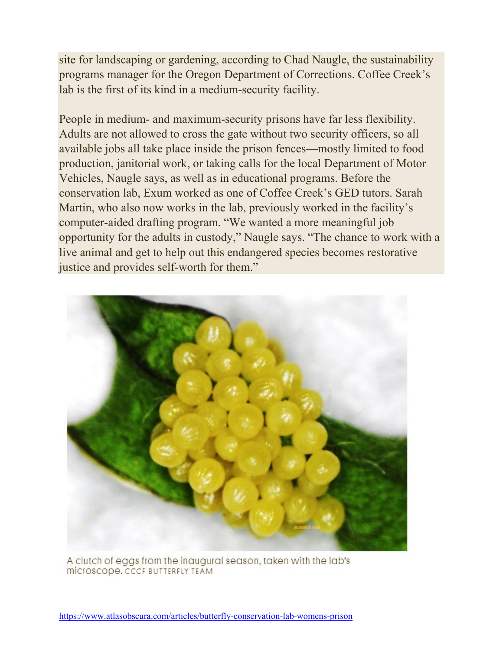site for landscaping or gardening, according to Chad Naugle, the sustainability programs manager for the Oregon Department of Corrections. Coffee Creek's lab is the first of its kind in a medium-security facility.

People in medium- and maximum-security prisons have far less flexibility. Adults are not allowed to cross the gate without two security officers, so all available jobs all take place inside the prison fences—mostly limited to food production, janitorial work, or taking calls for the local Department of Motor Vehicles, Naugle says, as well as in educational programs. Before the conservation lab, Exum worked as one of Coffee Creek's GED tutors. Sarah Martin, who also now works in the lab, previously worked in the facility's computer-aided drafting program. "We wanted a more meaningful job opportunity for the adults in custody," Naugle says. "The chance to work with a live animal and get to help out this endangered species becomes restorative justice and provides self-worth for them."



A clutch of eggs from the inaugural season, taken with the lab's **MICTOSCODE, CCCF BUTTERFLY TEAM**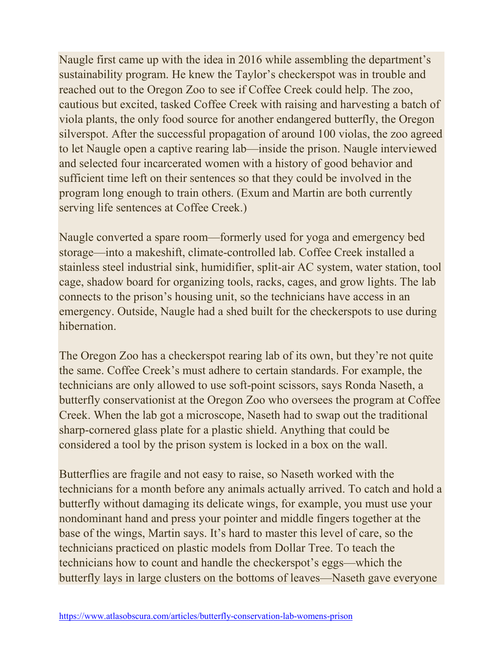Naugle first came up with the idea in 2016 while assembling the department's sustainability program. He knew the Taylor's checkerspot was in trouble and reached out to the Oregon Zoo to see if Coffee Creek could help. The zoo, cautious but excited, tasked Coffee Creek with raising and harvesting a batch of viola plants, the only food source for another endangered butterfly, the Oregon silverspot. After the successful propagation of around 100 violas, the zoo agreed to let Naugle open a captive rearing lab—inside the prison. Naugle interviewed and selected four incarcerated women with a history of good behavior and sufficient time left on their sentences so that they could be involved in the program long enough to train others. (Exum and Martin are both currently serving life sentences at Coffee Creek.)

Naugle converted a spare room—formerly used for yoga and emergency bed storage—into a makeshift, climate-controlled lab. Coffee Creek installed a stainless steel industrial sink, humidifier, split-air AC system, water station, tool cage, shadow board for organizing tools, racks, cages, and grow lights. The lab connects to the prison's housing unit, so the technicians have access in an emergency. Outside, Naugle had a shed built for the checkerspots to use during hibernation.

The Oregon Zoo has a checkerspot rearing lab of its own, but they're not quite the same. Coffee Creek's must adhere to certain standards. For example, the technicians are only allowed to use soft-point scissors, says Ronda Naseth, a butterfly conservationist at the Oregon Zoo who oversees the program at Coffee Creek. When the lab got a microscope, Naseth had to swap out the traditional sharp-cornered glass plate for a plastic shield. Anything that could be considered a tool by the prison system is locked in a box on the wall.

Butterflies are fragile and not easy to raise, so Naseth worked with the technicians for a month before any animals actually arrived. To catch and hold a butterfly without damaging its delicate wings, for example, you must use your nondominant hand and press your pointer and middle fingers together at the base of the wings, Martin says. It's hard to master this level of care, so the technicians practiced on plastic models from Dollar Tree. To teach the technicians how to count and handle the checkerspot's eggs—which the butterfly lays in large clusters on the bottoms of leaves—Naseth gave everyone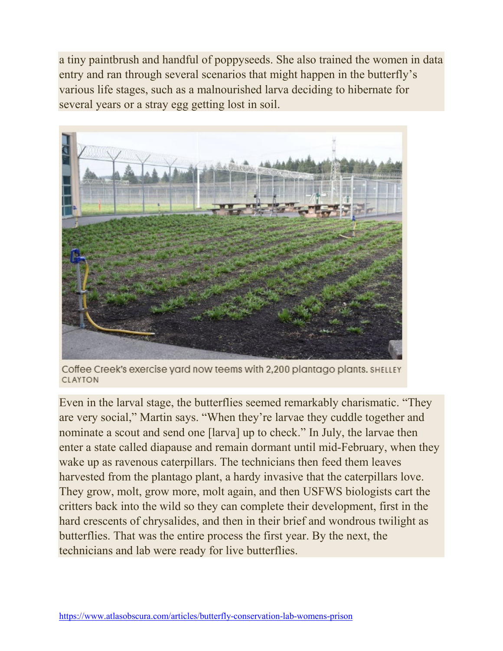a tiny paintbrush and handful of poppyseeds. She also trained the women in data entry and ran through several scenarios that might happen in the butterfly's various life stages, such as a malnourished larva deciding to hibernate for several years or a stray egg getting lost in soil.



Coffee Creek's exercise yard now teems with 2,200 plantago plants. SHELLEY **CLAYTON** 

Even in the larval stage, the butterflies seemed remarkably charismatic. "They are very social," Martin says. "When they're larvae they cuddle together and nominate a scout and send one [larva] up to check." In July, the larvae then enter a state called diapause and remain dormant until mid-February, when they wake up as ravenous caterpillars. The technicians then feed them leaves harvested from the plantago plant, a hardy invasive that the caterpillars love. They grow, molt, grow more, molt again, and then USFWS biologists cart the critters back into the wild so they can complete their development, first in the hard crescents of chrysalides, and then in their brief and wondrous twilight as butterflies. That was the entire process the first year. By the next, the technicians and lab were ready for live butterflies.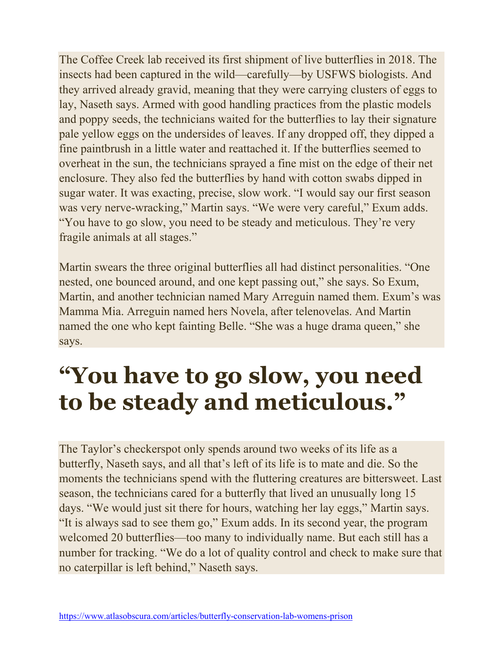The Coffee Creek lab received its first shipment of live butterflies in 2018. The insects had been captured in the wild—carefully—by USFWS biologists. And they arrived already gravid, meaning that they were carrying clusters of eggs to lay, Naseth says. Armed with good handling practices from the plastic models and poppy seeds, the technicians waited for the butterflies to lay their signature pale yellow eggs on the undersides of leaves. If any dropped off, they dipped a fine paintbrush in a little water and reattached it. If the butterflies seemed to overheat in the sun, the technicians sprayed a fine mist on the edge of their net enclosure. They also fed the butterflies by hand with cotton swabs dipped in sugar water. It was exacting, precise, slow work. "I would say our first season was very nerve-wracking," Martin says. "We were very careful," Exum adds. "You have to go slow, you need to be steady and meticulous. They're very fragile animals at all stages."

Martin swears the three original butterflies all had distinct personalities. "One nested, one bounced around, and one kept passing out," she says. So Exum, Martin, and another technician named Mary Arreguin named them. Exum's was Mamma Mia. Arreguin named hers Novela, after telenovelas. And Martin named the one who kept fainting Belle. "She was a huge drama queen," she says.

## **"You have to go slow, you need to be steady and meticulous."**

The Taylor's checkerspot only spends around two weeks of its life as a butterfly, Naseth says, and all that's left of its life is to mate and die. So the moments the technicians spend with the fluttering creatures are bittersweet. Last season, the technicians cared for a butterfly that lived an unusually long 15 days. "We would just sit there for hours, watching her lay eggs," Martin says. "It is always sad to see them go," Exum adds. In its second year, the program welcomed 20 butterflies—too many to individually name. But each still has a number for tracking. "We do a lot of quality control and check to make sure that no caterpillar is left behind," Naseth says.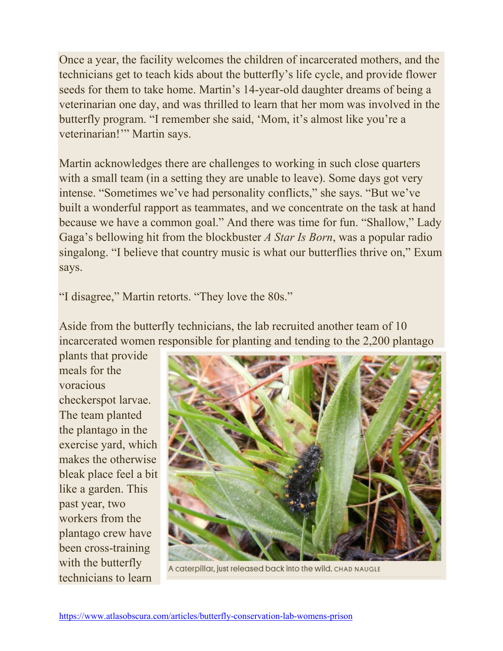Once a year, the facility welcomes the children of incarcerated mothers, and the technicians get to teach kids about the butterfly's life cycle, and provide flower seeds for them to take home. Martin's 14-year-old daughter dreams of being a veterinarian one day, and was thrilled to learn that her mom was involved in the butterfly program. "I remember she said, 'Mom, it's almost like you're a veterinarian!'" Martin says.

Martin acknowledges there are challenges to working in such close quarters with a small team (in a setting they are unable to leave). Some days got very intense. "Sometimes we've had personality conflicts," she says. "But we've built a wonderful rapport as teammates, and we concentrate on the task at hand because we have a common goal." And there was time for fun. "Shallow," Lady Gaga's bellowing hit from the blockbuster *A Star Is Born*, was a popular radio singalong. "I believe that country music is what our butterflies thrive on," Exum says.

"I disagree," Martin retorts. "They love the 80s."

Aside from the butterfly technicians, the lab recruited another team of 10 incarcerated women responsible for planting and tending to the 2,200 plantago

plants that provide meals for the voracious checkerspot larvae. The team planted the plantago in the exercise yard, which makes the otherwise bleak place feel a bit like a garden. This past year, two workers from the plantago crew have been cross-training with the butterfly technicians to learn



A caterpillar, just released back into the wild. CHAD NAUGLE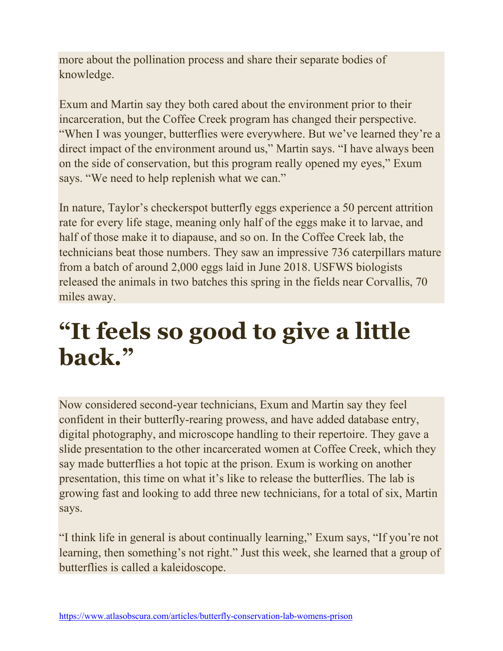more about the pollination process and share their separate bodies of knowledge.

Exum and Martin say they both cared about the environment prior to their incarceration, but the Coffee Creek program has changed their perspective. "When I was younger, butterflies were everywhere. But we've learned they're a direct impact of the environment around us," Martin says. "I have always been on the side of conservation, but this program really opened my eyes," Exum says. "We need to help replenish what we can."

In nature, Taylor's checkerspot butterfly eggs experience a 50 percent attrition rate for every life stage, meaning only half of the eggs make it to larvae, and half of those make it to diapause, and so on. In the Coffee Creek lab, the technicians beat those numbers. They saw an impressive 736 caterpillars mature from a batch of around 2,000 eggs laid in June 2018. USFWS biologists released the animals in two batches this spring in the fields near Corvallis, 70 miles away.

## **"It feels so good to give a little back."**

Now considered second-year technicians, Exum and Martin say they feel confident in their butterfly-rearing prowess, and have added database entry, digital photography, and microscope handling to their repertoire. They gave a slide presentation to the other incarcerated women at Coffee Creek, which they say made butterflies a hot topic at the prison. Exum is working on another presentation, this time on what it's like to release the butterflies. The lab is growing fast and looking to add three new technicians, for a total of six, Martin says.

"I think life in general is about continually learning," Exum says, "If you're not learning, then something's not right." Just this week, she learned that a group of butterflies is called a kaleidoscope.